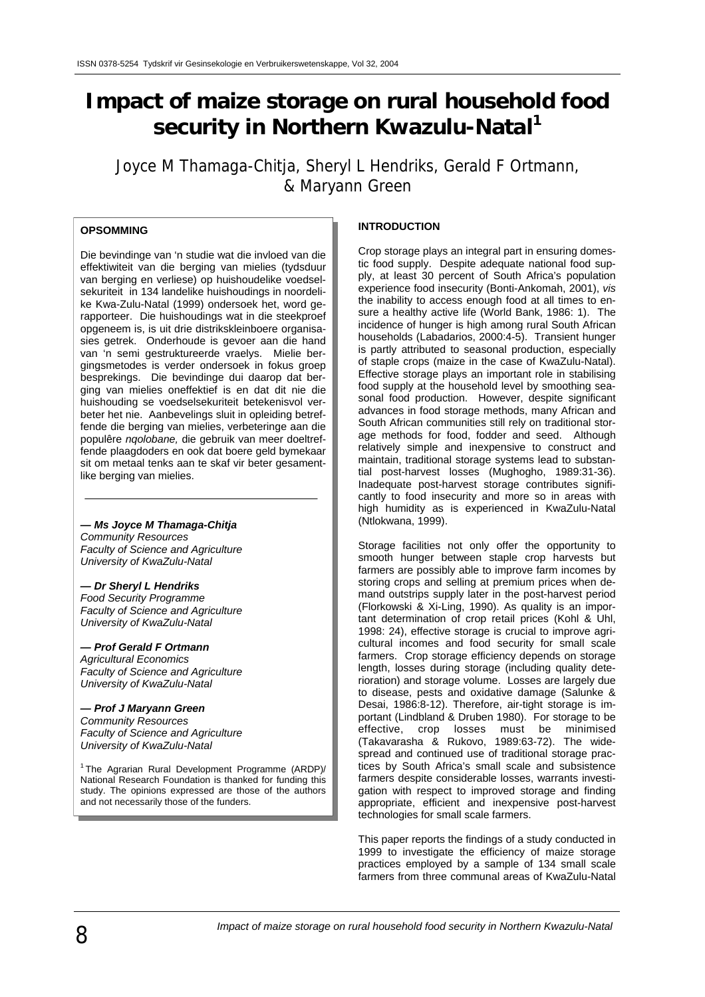# **Impact of maize storage on rural household food security in Northern Kwazulu-Natal1**

Joyce M Thamaga-Chitja, Sheryl L Hendriks, Gerald F Ortmann, & Maryann Green

#### **OPSOMMING**

Die bevindinge van 'n studie wat die invloed van die effektiwiteit van die berging van mielies (tydsduur van berging en verliese) op huishoudelike voedselsekuriteit in 134 landelike huishoudings in noordelike Kwa-Zulu-Natal (1999) ondersoek het, word gerapporteer. Die huishoudings wat in die steekproef opgeneem is, is uit drie distrikskleinboere organisasies getrek. Onderhoude is gevoer aan die hand van 'n semi gestruktureerde vraelys. Mielie bergingsmetodes is verder ondersoek in fokus groep besprekings. Die bevindinge dui daarop dat berging van mielies oneffektief is en dat dit nie die huishouding se voedselsekuriteit betekenisvol verbeter het nie. Aanbevelings sluit in opleiding betreffende die berging van mielies, verbeteringe aan die populêre *nqolobane,* die gebruik van meer doeltreffende plaagdoders en ook dat boere geld bymekaar sit om metaal tenks aan te skaf vir beter gesamentlike berging van mielies.

*— Ms Joyce M Thamaga-Chitja Community Resources Faculty of Science and Agriculture University of KwaZulu-Natal* 

## *— Dr Sheryl L Hendriks*

*Food Security Programme Faculty of Science and Agriculture University of KwaZulu-Natal* 

#### *— Prof Gerald F Ortmann*

*Agricultural Economics Faculty of Science and Agriculture University of KwaZulu-Natal* 

## *— Prof J Maryann Green*

*Community Resources Faculty of Science and Agriculture University of KwaZulu-Natal* 

<sup>1</sup> The Agrarian Rural Development Programme (ARDP)/ National Research Foundation is thanked for funding this study. The opinions expressed are those of the authors and not necessarily those of the funders.

## **INTRODUCTION**

Crop storage plays an integral part in ensuring domestic food supply. Despite adequate national food supply, at least 30 percent of South Africa's population experience food insecurity (Bonti-Ankomah, 2001), *vis* the inability to access enough food at all times to ensure a healthy active life (World Bank, 1986: 1). The incidence of hunger is high among rural South African households (Labadarios, 2000:4-5). Transient hunger is partly attributed to seasonal production, especially of staple crops (maize in the case of KwaZulu-Natal). Effective storage plays an important role in stabilising food supply at the household level by smoothing seasonal food production. However, despite significant advances in food storage methods, many African and South African communities still rely on traditional storage methods for food, fodder and seed. Although relatively simple and inexpensive to construct and maintain, traditional storage systems lead to substantial post-harvest losses (Mughogho, 1989:31-36). Inadequate post-harvest storage contributes significantly to food insecurity and more so in areas with high humidity as is experienced in KwaZulu-Natal (Ntlokwana, 1999).

Storage facilities not only offer the opportunity to smooth hunger between staple crop harvests but farmers are possibly able to improve farm incomes by storing crops and selling at premium prices when demand outstrips supply later in the post-harvest period (Florkowski & Xi-Ling, 1990). As quality is an important determination of crop retail prices (Kohl & Uhl, 1998: 24), effective storage is crucial to improve agricultural incomes and food security for small scale farmers. Crop storage efficiency depends on storage length, losses during storage (including quality deterioration) and storage volume. Losses are largely due to disease, pests and oxidative damage (Salunke & Desai, 1986:8-12). Therefore, air-tight storage is important (Lindbland & Druben 1980). For storage to be effective, crop losses must be minimised (Takavarasha & Rukovo, 1989:63-72). The widespread and continued use of traditional storage practices by South Africa's small scale and subsistence farmers despite considerable losses, warrants investigation with respect to improved storage and finding appropriate, efficient and inexpensive post-harvest technologies for small scale farmers.

This paper reports the findings of a study conducted in 1999 to investigate the efficiency of maize storage practices employed by a sample of 134 small scale farmers from three communal areas of KwaZulu-Natal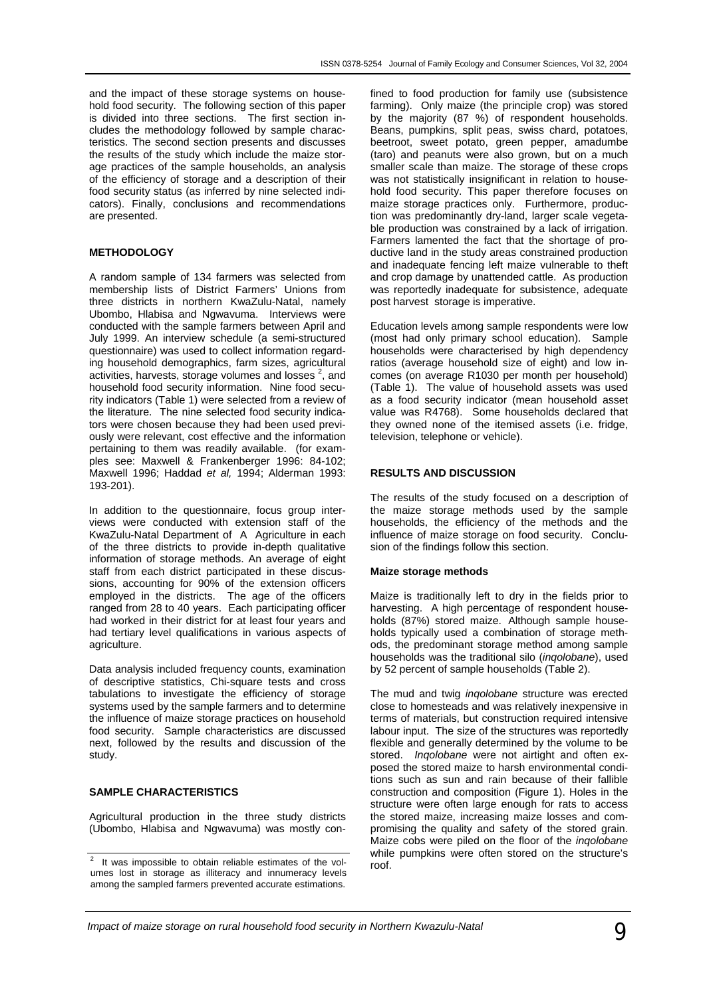and the impact of these storage systems on household food security. The following section of this paper is divided into three sections. The first section includes the methodology followed by sample characteristics. The second section presents and discusses the results of the study which include the maize storage practices of the sample households, an analysis of the efficiency of storage and a description of their food security status (as inferred by nine selected indicators). Finally, conclusions and recommendations are presented.

## **METHODOLOGY**

A random sample of 134 farmers was selected from membership lists of District Farmers' Unions from three districts in northern KwaZulu-Natal, namely Ubombo, Hlabisa and Ngwavuma. Interviews were conducted with the sample farmers between April and July 1999. An interview schedule (a semi-structured questionnaire) was used to collect information regarding household demographics, farm sizes, agricultural activities, harvests, storage volumes and losses  $2$ , and household food security information. Nine food security indicators (Table 1) were selected from a review of the literature. The nine selected food security indicators were chosen because they had been used previously were relevant, cost effective and the information pertaining to them was readily available. (for examples see: Maxwell & Frankenberger 1996: 84-102; Maxwell 1996; Haddad *et al,* 1994; Alderman 1993: 193-201).

In addition to the questionnaire, focus group interviews were conducted with extension staff of the KwaZulu-Natal Department of A Agriculture in each of the three districts to provide in-depth qualitative information of storage methods. An average of eight staff from each district participated in these discussions, accounting for 90% of the extension officers employed in the districts. The age of the officers ranged from 28 to 40 years. Each participating officer had worked in their district for at least four years and had tertiary level qualifications in various aspects of agriculture.

Data analysis included frequency counts, examination of descriptive statistics, Chi-square tests and cross tabulations to investigate the efficiency of storage systems used by the sample farmers and to determine the influence of maize storage practices on household food security. Sample characteristics are discussed next, followed by the results and discussion of the study.

## **SAMPLE CHARACTERISTICS**

Agricultural production in the three study districts (Ubombo, Hlabisa and Ngwavuma) was mostly con-

fined to food production for family use (subsistence farming). Only maize (the principle crop) was stored by the majority (87 %) of respondent households. Beans, pumpkins, split peas, swiss chard, potatoes, beetroot, sweet potato, green pepper, amadumbe (taro) and peanuts were also grown, but on a much smaller scale than maize. The storage of these crops was not statistically insignificant in relation to household food security. This paper therefore focuses on maize storage practices only. Furthermore, production was predominantly dry-land, larger scale vegetable production was constrained by a lack of irrigation. Farmers lamented the fact that the shortage of productive land in the study areas constrained production and inadequate fencing left maize vulnerable to theft and crop damage by unattended cattle. As production was reportedly inadequate for subsistence, adequate post harvest storage is imperative.

Education levels among sample respondents were low (most had only primary school education). Sample households were characterised by high dependency ratios (average household size of eight) and low incomes (on average R1030 per month per household) (Table 1). The value of household assets was used as a food security indicator (mean household asset value was R4768). Some households declared that they owned none of the itemised assets (i.e. fridge, television, telephone or vehicle).

## **RESULTS AND DISCUSSION**

The results of the study focused on a description of the maize storage methods used by the sample households, the efficiency of the methods and the influence of maize storage on food security. Conclusion of the findings follow this section.

#### **Maize storage methods**

Maize is traditionally left to dry in the fields prior to harvesting. A high percentage of respondent households (87%) stored maize. Although sample households typically used a combination of storage methods, the predominant storage method among sample households was the traditional silo (*inqolobane*), used by 52 percent of sample households (Table 2).

The mud and twig *inqolobane* structure was erected close to homesteads and was relatively inexpensive in terms of materials, but construction required intensive labour input. The size of the structures was reportedly flexible and generally determined by the volume to be stored. *Inqolobane* were not airtight and often exposed the stored maize to harsh environmental conditions such as sun and rain because of their fallible construction and composition (Figure 1). Holes in the structure were often large enough for rats to access the stored maize, increasing maize losses and compromising the quality and safety of the stored grain. Maize cobs were piled on the floor of the *inqolobane* while pumpkins were often stored on the structure's roof.

 $2$  It was impossible to obtain reliable estimates of the volumes lost in storage as illiteracy and innumeracy levels among the sampled farmers prevented accurate estimations.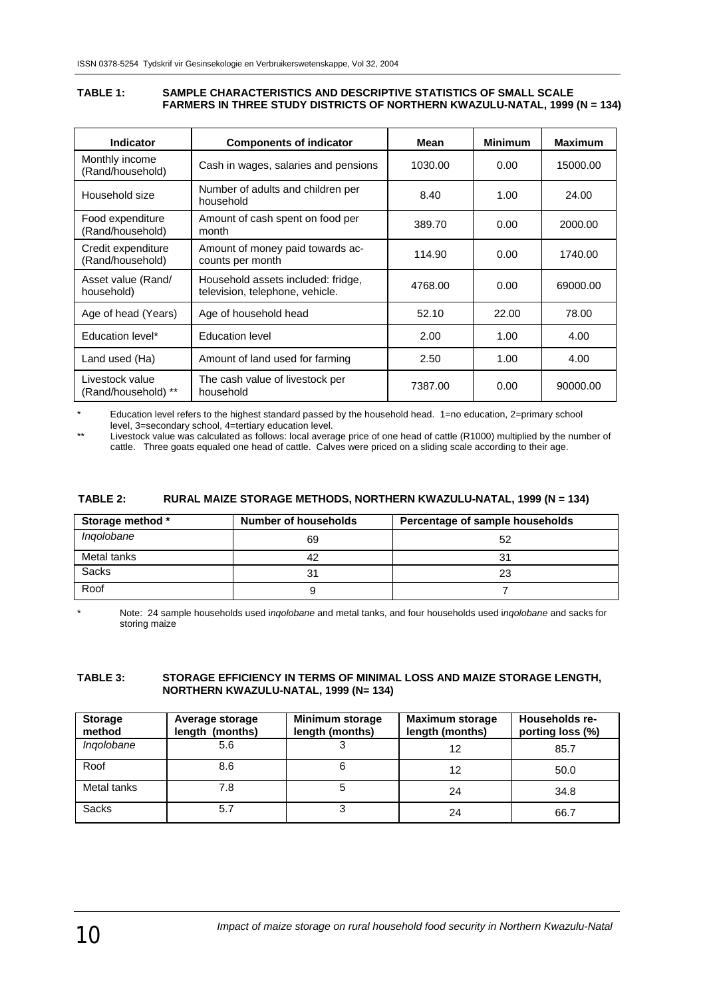#### **TABLE 1: SAMPLE CHARACTERISTICS AND DESCRIPTIVE STATISTICS OF SMALL SCALE FARMERS IN THREE STUDY DISTRICTS OF NORTHERN KWAZULU-NATAL, 1999 (N = 134)**

| Indicator                              | <b>Components of indicator</b>                                        | Mean    | <b>Minimum</b> | <b>Maximum</b> |
|----------------------------------------|-----------------------------------------------------------------------|---------|----------------|----------------|
| Monthly income<br>(Rand/household)     | Cash in wages, salaries and pensions                                  | 1030.00 | 0.00           | 15000.00       |
| Household size                         | Number of adults and children per<br>household                        | 8.40    | 1.00           | 24.00          |
| Food expenditure<br>(Rand/household)   | Amount of cash spent on food per<br>month                             | 389.70  | 0.00           | 2000.00        |
| Credit expenditure<br>(Rand/household) | Amount of money paid towards ac-<br>counts per month                  | 114.90  | 0.00           | 1740.00        |
| Asset value (Rand/<br>household)       | Household assets included: fridge,<br>television, telephone, vehicle. | 4768.00 | 0.00           | 69000.00       |
| Age of head (Years)                    | Age of household head                                                 | 52.10   | 22.00          | 78.00          |
| Education level*                       | <b>Education level</b>                                                | 2.00    | 1.00           | 4.00           |
| Land used (Ha)                         | Amount of land used for farming                                       | 2.50    | 1.00           | 4.00           |
| Livestock value<br>(Rand/household) ** | The cash value of livestock per<br>household                          | 7387.00 | 0.00           | 90000.00       |

Education level refers to the highest standard passed by the household head. 1=no education, 2=primary school level, 3=secondary school, 4=tertiary education level.

\*\* Livestock value was calculated as follows: local average price of one head of cattle (R1000) multiplied by the number of cattle. Three goats equaled one head of cattle. Calves were priced on a sliding scale according to their age.

| TABLE 2: | RURAL MAIZE STORAGE METHODS, NORTHERN KWAZULU-NATAL, 1999 (N = 134) |  |
|----------|---------------------------------------------------------------------|--|
|----------|---------------------------------------------------------------------|--|

| Storage method * | <b>Number of households</b> | Percentage of sample households |
|------------------|-----------------------------|---------------------------------|
| Ingolobane       | 69                          | 52                              |
| Metal tanks      |                             |                                 |
| <b>Sacks</b>     | 31                          |                                 |
| Roof             |                             |                                 |

\* Note: 24 sample households used i*nqolobane* and metal tanks, and four households used i*nqolobane* and sacks for storing maize

## **TABLE 3: STORAGE EFFICIENCY IN TERMS OF MINIMAL LOSS AND MAIZE STORAGE LENGTH, NORTHERN KWAZULU-NATAL, 1999 (N= 134)**

| <b>Storage</b><br>method | Average storage<br>length (months) | <b>Minimum storage</b><br>length (months) | <b>Maximum storage</b><br>length (months) | Households re-<br>porting loss (%) |
|--------------------------|------------------------------------|-------------------------------------------|-------------------------------------------|------------------------------------|
| Ingolobane               | 5.6                                | 3                                         | 12                                        | 85.7                               |
| Roof                     | 8.6                                | 6                                         | 12                                        | 50.0                               |
| Metal tanks              | 7.8                                |                                           | 24                                        | 34.8                               |
| Sacks                    | 5.7                                | 3                                         | 24                                        | 66.7                               |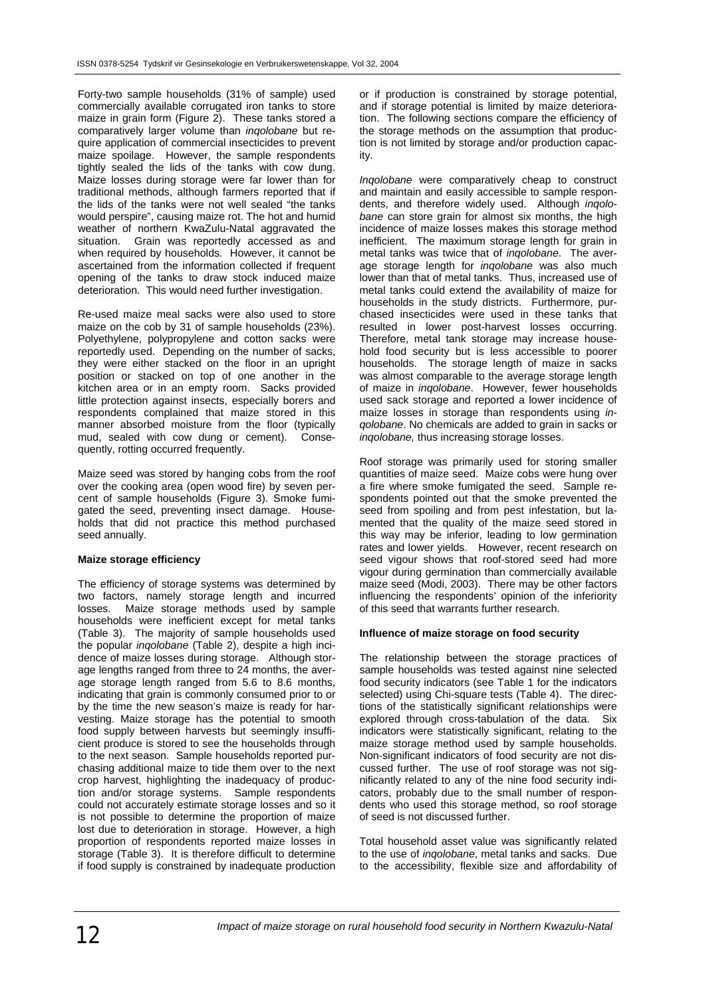Forty-two sample households (31% of sample) used commercially available corrugated iron tanks to store maize in grain form (Figure 2). These tanks stored a comparatively larger volume than *inqolobane* but require application of commercial insecticides to prevent maize spoilage. However, the sample respondents tightly sealed the lids of the tanks with cow dung. Maize losses during storage were far lower than for traditional methods, although farmers reported that if the lids of the tanks were not well sealed "the tanks would perspire", causing maize rot. The hot and humid weather of northern KwaZulu-Natal aggravated the situation. Grain was reportedly accessed as and when required by households. However, it cannot be ascertained from the information collected if frequent opening of the tanks to draw stock induced maize deterioration. This would need further investigation.

Re-used maize meal sacks were also used to store maize on the cob by 31 of sample households (23%). Polyethylene, polypropylene and cotton sacks were reportedly used. Depending on the number of sacks, they were either stacked on the floor in an upright position or stacked on top of one another in the kitchen area or in an empty room. Sacks provided little protection against insects, especially borers and respondents complained that maize stored in this manner absorbed moisture from the floor (typically mud, sealed with cow dung or cement). Consequently, rotting occurred frequently.

Maize seed was stored by hanging cobs from the roof over the cooking area (open wood fire) by seven percent of sample households (Figure 3). Smoke fumigated the seed, preventing insect damage. Households that did not practice this method purchased seed annually.

## **Maize storage efficiency**

The efficiency of storage systems was determined by two factors, namely storage length and incurred losses. Maize storage methods used by sample households were inefficient except for metal tanks (Table 3). The majority of sample households used the popular *inqolobane* (Table 2), despite a high incidence of maize losses during storage. Although storage lengths ranged from three to 24 months, the average storage length ranged from 5.6 to 8.6 months, indicating that grain is commonly consumed prior to or by the time the new season's maize is ready for harvesting. Maize storage has the potential to smooth food supply between harvests but seemingly insufficient produce is stored to see the households through to the next season. Sample households reported purchasing additional maize to tide them over to the next crop harvest, highlighting the inadequacy of production and/or storage systems. Sample respondents could not accurately estimate storage losses and so it is not possible to determine the proportion of maize lost due to deterioration in storage. However, a high proportion of respondents reported maize losses in storage (Table 3). It is therefore difficult to determine if food supply is constrained by inadequate production

or if production is constrained by storage potential, and if storage potential is limited by maize deterioration. The following sections compare the efficiency of the storage methods on the assumption that production is not limited by storage and/or production capacity.

*Inqolobane* were comparatively cheap to construct and maintain and easily accessible to sample respondents, and therefore widely used. Although *inqolobane* can store grain for almost six months, the high incidence of maize losses makes this storage method inefficient. The maximum storage length for grain in metal tanks was twice that of *inqolobane*. The average storage length for *inqolobane* was also much lower than that of metal tanks. Thus, increased use of metal tanks could extend the availability of maize for households in the study districts. Furthermore, purchased insecticides were used in these tanks that resulted in lower post-harvest losses occurring. Therefore, metal tank storage may increase household food security but is less accessible to poorer households. The storage length of maize in sacks was almost comparable to the average storage length of maize in *inqolobane*. However, fewer households used sack storage and reported a lower incidence of maize losses in storage than respondents using *inqolobane*. No chemicals are added to grain in sacks or *inqolobane,* thus increasing storage losses.

Roof storage was primarily used for storing smaller quantities of maize seed. Maize cobs were hung over a fire where smoke fumigated the seed. Sample respondents pointed out that the smoke prevented the seed from spoiling and from pest infestation, but lamented that the quality of the maize seed stored in this way may be inferior, leading to low germination rates and lower yields. However, recent research on seed vigour shows that roof-stored seed had more vigour during germination than commercially available maize seed (Modi, 2003). There may be other factors influencing the respondents' opinion of the inferiority of this seed that warrants further research.

## **Influence of maize storage on food security**

The relationship between the storage practices of sample households was tested against nine selected food security indicators (see Table 1 for the indicators selected) using Chi-square tests (Table 4). The directions of the statistically significant relationships were explored through cross-tabulation of the data. Six indicators were statistically significant, relating to the maize storage method used by sample households. Non-significant indicators of food security are not discussed further. The use of roof storage was not significantly related to any of the nine food security indicators, probably due to the small number of respondents who used this storage method, so roof storage of seed is not discussed further.

Total household asset value was significantly related to the use of *inqolobane*, metal tanks and sacks. Due to the accessibility, flexible size and affordability of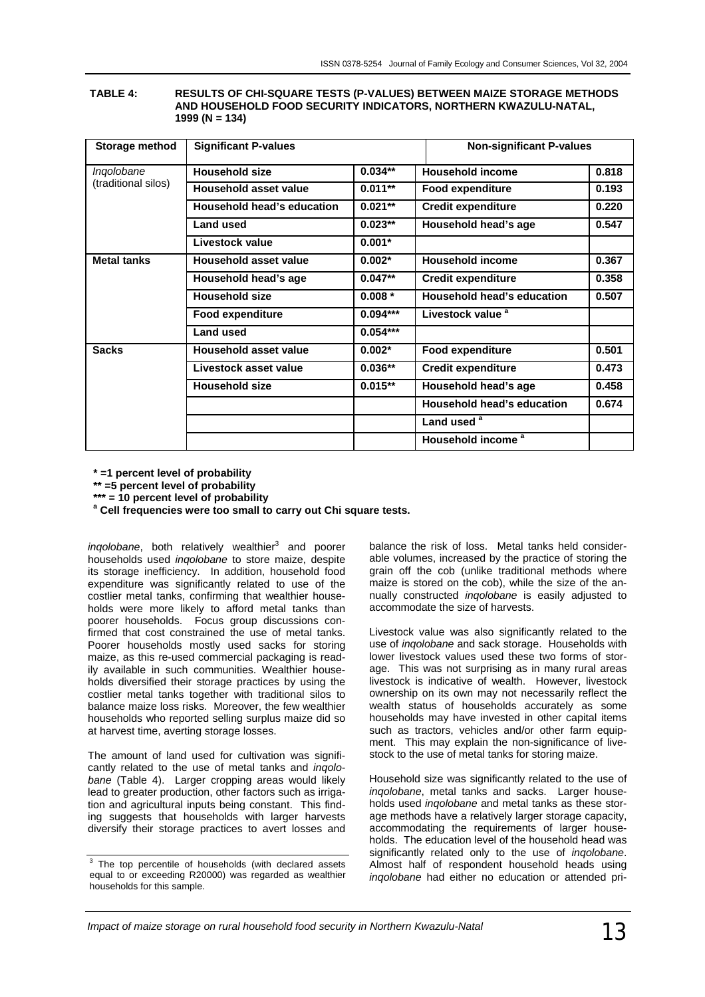#### **TABLE 4: RESULTS OF CHI-SQUARE TESTS (P-VALUES) BETWEEN MAIZE STORAGE METHODS AND HOUSEHOLD FOOD SECURITY INDICATORS, NORTHERN KWAZULU-NATAL, 1999 (N = 134)**

| Storage method      | <b>Significant P-values</b>       |            | <b>Non-significant P-values</b>   |       |
|---------------------|-----------------------------------|------------|-----------------------------------|-------|
| Ingolobane          | <b>Household size</b>             | $0.034**$  | <b>Household income</b>           | 0.818 |
| (traditional silos) | Household asset value             | $0.011**$  | <b>Food expenditure</b>           | 0.193 |
|                     | <b>Household head's education</b> | $0.021**$  | <b>Credit expenditure</b>         | 0.220 |
|                     | <b>Land used</b>                  | $0.023**$  | Household head's age              | 0.547 |
|                     | <b>Livestock value</b>            | $0.001*$   |                                   |       |
| <b>Metal tanks</b>  | Household asset value             | $0.002*$   | <b>Household income</b>           | 0.367 |
|                     | Household head's age              | $0.047**$  | <b>Credit expenditure</b>         | 0.358 |
|                     | <b>Household size</b>             | $0.008 *$  | Household head's education        | 0.507 |
|                     | <b>Food expenditure</b>           | $0.094***$ | Livestock value <sup>a</sup>      |       |
|                     | <b>Land used</b>                  | $0.054***$ |                                   |       |
| <b>Sacks</b>        | <b>Household asset value</b>      | $0.002*$   | <b>Food expenditure</b>           | 0.501 |
|                     | Livestock asset value             | $0.036**$  | <b>Credit expenditure</b>         | 0.473 |
|                     | <b>Household size</b>             | $0.015**$  | Household head's age              | 0.458 |
|                     |                                   |            | <b>Household head's education</b> | 0.674 |
|                     |                                   |            | Land used <sup>a</sup>            |       |
|                     |                                   |            | Household income <sup>a</sup>     |       |

**\* =1 percent level of probability**

**\*\* =5 percent level of probability**

**\*\*\* = 10 percent level of probability**

**a Cell frequencies were too small to carry out Chi square tests.**

inqolobane, both relatively wealthier<sup>3</sup> and poorer households used *inqolobane* to store maize, despite its storage inefficiency. In addition, household food expenditure was significantly related to use of the costlier metal tanks, confirming that wealthier households were more likely to afford metal tanks than poorer households. Focus group discussions confirmed that cost constrained the use of metal tanks. Poorer households mostly used sacks for storing maize, as this re-used commercial packaging is readily available in such communities. Wealthier households diversified their storage practices by using the costlier metal tanks together with traditional silos to balance maize loss risks. Moreover, the few wealthier households who reported selling surplus maize did so at harvest time, averting storage losses.

The amount of land used for cultivation was significantly related to the use of metal tanks and *inqolobane* (Table 4). Larger cropping areas would likely lead to greater production, other factors such as irrigation and agricultural inputs being constant. This finding suggests that households with larger harvests diversify their storage practices to avert losses and balance the risk of loss. Metal tanks held considerable volumes, increased by the practice of storing the grain off the cob (unlike traditional methods where maize is stored on the cob), while the size of the annually constructed *inqolobane* is easily adjusted to accommodate the size of harvests.

Livestock value was also significantly related to the use of *inqolobane* and sack storage. Households with lower livestock values used these two forms of storage. This was not surprising as in many rural areas livestock is indicative of wealth. However, livestock ownership on its own may not necessarily reflect the wealth status of households accurately as some households may have invested in other capital items such as tractors, vehicles and/or other farm equipment. This may explain the non-significance of livestock to the use of metal tanks for storing maize.

Household size was significantly related to the use of *inqolobane*, metal tanks and sacks. Larger households used *inqolobane* and metal tanks as these storage methods have a relatively larger storage capacity, accommodating the requirements of larger households. The education level of the household head was significantly related only to the use of *inqolobane*. Almost half of respondent household heads using *inqolobane* had either no education or attended pri-

 $3$  The top percentile of households (with declared assets equal to or exceeding R20000) was regarded as wealthier households for this sample.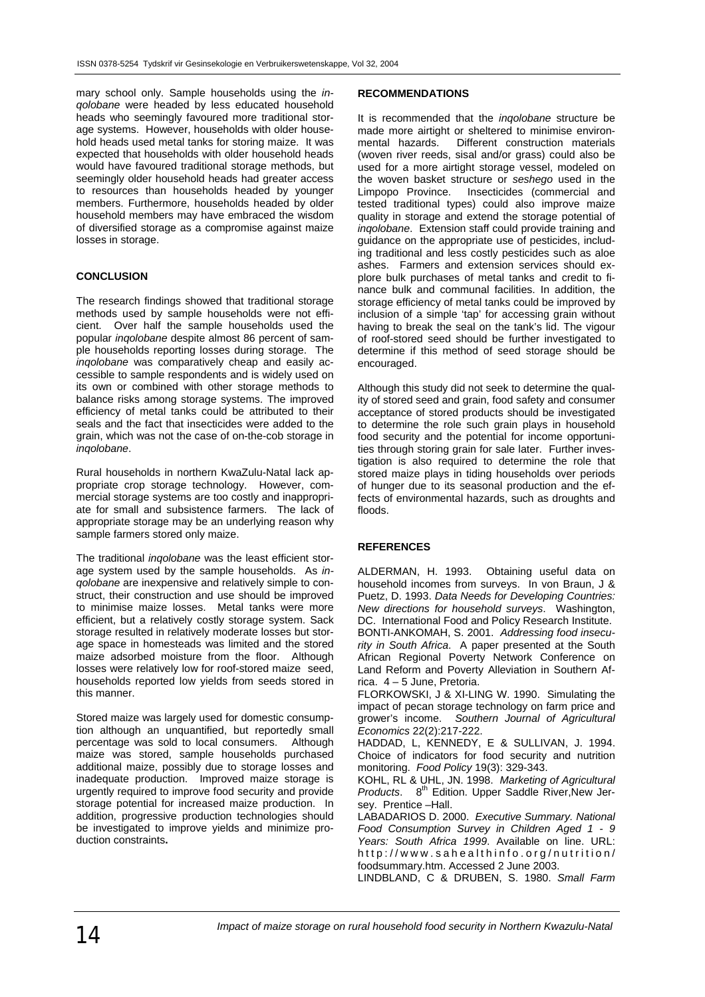mary school only. Sample households using the *inqolobane* were headed by less educated household heads who seemingly favoured more traditional storage systems. However, households with older household heads used metal tanks for storing maize. It was expected that households with older household heads would have favoured traditional storage methods, but seemingly older household heads had greater access to resources than households headed by younger members. Furthermore, households headed by older household members may have embraced the wisdom of diversified storage as a compromise against maize losses in storage.

## **CONCLUSION**

The research findings showed that traditional storage methods used by sample households were not efficient. Over half the sample households used the popular *inqolobane* despite almost 86 percent of sample households reporting losses during storage. The *inqolobane* was comparatively cheap and easily accessible to sample respondents and is widely used on its own or combined with other storage methods to balance risks among storage systems. The improved efficiency of metal tanks could be attributed to their seals and the fact that insecticides were added to the grain, which was not the case of on-the-cob storage in *inqolobane*.

Rural households in northern KwaZulu-Natal lack appropriate crop storage technology. However, commercial storage systems are too costly and inappropriate for small and subsistence farmers. The lack of appropriate storage may be an underlying reason why sample farmers stored only maize.

The traditional *inqolobane* was the least efficient storage system used by the sample households. As *inqolobane* are inexpensive and relatively simple to construct, their construction and use should be improved to minimise maize losses. Metal tanks were more efficient, but a relatively costly storage system. Sack storage resulted in relatively moderate losses but storage space in homesteads was limited and the stored maize adsorbed moisture from the floor. Although losses were relatively low for roof-stored maize seed, households reported low yields from seeds stored in this manner.

Stored maize was largely used for domestic consumption although an unquantified, but reportedly small percentage was sold to local consumers. Although maize was stored, sample households purchased additional maize, possibly due to storage losses and inadequate production. Improved maize storage is urgently required to improve food security and provide storage potential for increased maize production. In addition, progressive production technologies should be investigated to improve yields and minimize production constraints**.** 

## **RECOMMENDATIONS**

It is recommended that the *inqolobane* structure be made more airtight or sheltered to minimise environmental hazards. Different construction materials (woven river reeds, sisal and/or grass) could also be used for a more airtight storage vessel, modeled on the woven basket structure or *seshego* used in the Limpopo Province. Insecticides (commercial and tested traditional types) could also improve maize quality in storage and extend the storage potential of *inqolobane*. Extension staff could provide training and guidance on the appropriate use of pesticides, including traditional and less costly pesticides such as aloe ashes. Farmers and extension services should explore bulk purchases of metal tanks and credit to finance bulk and communal facilities. In addition, the storage efficiency of metal tanks could be improved by inclusion of a simple 'tap' for accessing grain without having to break the seal on the tank's lid. The vigour of roof-stored seed should be further investigated to determine if this method of seed storage should be encouraged.

Although this study did not seek to determine the quality of stored seed and grain, food safety and consumer acceptance of stored products should be investigated to determine the role such grain plays in household food security and the potential for income opportunities through storing grain for sale later. Further investigation is also required to determine the role that stored maize plays in tiding households over periods of hunger due to its seasonal production and the effects of environmental hazards, such as droughts and floods.

## **REFERENCES**

ALDERMAN, H. 1993. Obtaining useful data on household incomes from surveys. In von Braun, J & Puetz, D. 1993. *Data Needs for Developing Countries: New directions for household surveys*. Washington, DC. International Food and Policy Research Institute. BONTI-ANKOMAH, S. 2001. *Addressing food insecurity in South Africa*. A paper presented at the South African Regional Poverty Network Conference on Land Reform and Poverty Alleviation in Southern Africa.  $4 - 5$  June, Pretoria.

FLORKOWSKI, J & XI-LING W. 1990. Simulating the impact of pecan storage technology on farm price and grower's income. *Southern Journal of Agricultural Economics* 22(2):217-222.

HADDAD, L, KENNEDY, E & SULLIVAN, J. 1994. Choice of indicators for food security and nutrition monitoring. *Food Policy* 19(3): 329-343.

KOHL, RL & UHL, JN. 1998. *Marketing of Agricultural*  Products. 8<sup>th</sup> Edition. Upper Saddle River, New Jersey. Prentice –Hall.

LABADARIOS D. 2000. *Executive Summary. National Food Consumption Survey in Children Aged 1 - 9*  Years: South Africa 1999. Available on line. URL: http://www.sahealthinfo.org/nutrition/ foodsummary.htm. Accessed 2 June 2003.

LINDBLAND, C & DRUBEN, S. 1980. *Small Farm*